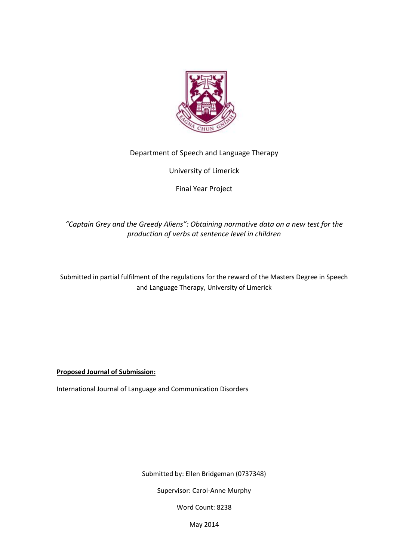

# Department of Speech and Language Therapy

University of Limerick

Final Year Project

# *"Captain Grey and the Greedy Aliens": Obtaining normative data on a new test for the production of verbs at sentence level in children*

Submitted in partial fulfilment of the regulations for the reward of the Masters Degree in Speech and Language Therapy, University of Limerick

**Proposed Journal of Submission:**

International Journal of Language and Communication Disorders

Submitted by: Ellen Bridgeman (0737348)

Supervisor: Carol-Anne Murphy

Word Count: 8238

May 2014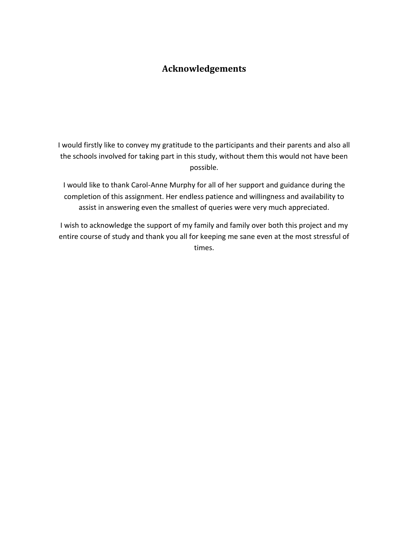# **Acknowledgements**

I would firstly like to convey my gratitude to the participants and their parents and also all the schools involved for taking part in this study, without them this would not have been possible.

I would like to thank Carol-Anne Murphy for all of her support and guidance during the completion of this assignment. Her endless patience and willingness and availability to assist in answering even the smallest of queries were very much appreciated.

I wish to acknowledge the support of my family and family over both this project and my entire course of study and thank you all for keeping me sane even at the most stressful of times.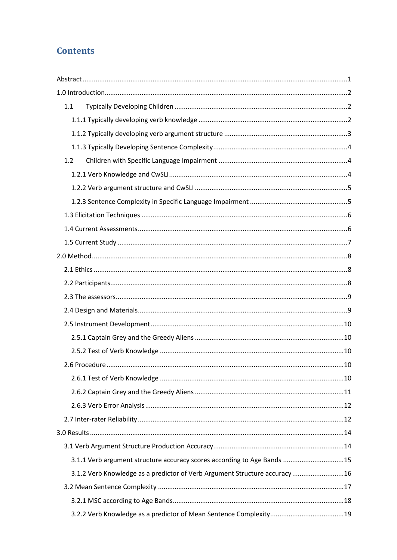# **Contents**

| 1.1                                                                       |  |
|---------------------------------------------------------------------------|--|
|                                                                           |  |
|                                                                           |  |
|                                                                           |  |
| 1.2                                                                       |  |
|                                                                           |  |
|                                                                           |  |
|                                                                           |  |
|                                                                           |  |
|                                                                           |  |
|                                                                           |  |
|                                                                           |  |
|                                                                           |  |
|                                                                           |  |
|                                                                           |  |
|                                                                           |  |
|                                                                           |  |
|                                                                           |  |
|                                                                           |  |
|                                                                           |  |
|                                                                           |  |
|                                                                           |  |
|                                                                           |  |
|                                                                           |  |
|                                                                           |  |
|                                                                           |  |
| 3.1.1 Verb argument structure accuracy scores according to Age Bands 15   |  |
| 3.1.2 Verb Knowledge as a predictor of Verb Argument Structure accuracy16 |  |
|                                                                           |  |
|                                                                           |  |
|                                                                           |  |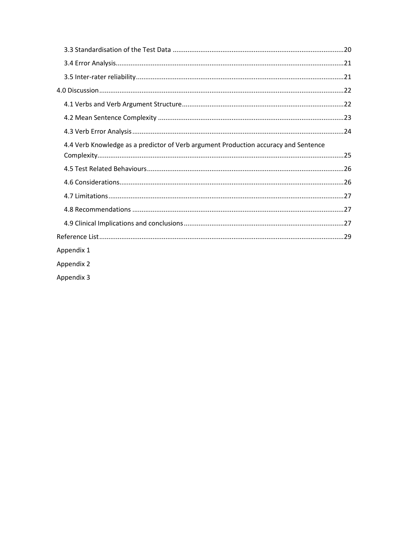| 4.4 Verb Knowledge as a predictor of Verb argument Production accuracy and Sentence |  |
|-------------------------------------------------------------------------------------|--|
|                                                                                     |  |
|                                                                                     |  |
|                                                                                     |  |
|                                                                                     |  |
|                                                                                     |  |
|                                                                                     |  |
|                                                                                     |  |
| Appendix 1                                                                          |  |
| Appendix 2                                                                          |  |
| Appendix 3                                                                          |  |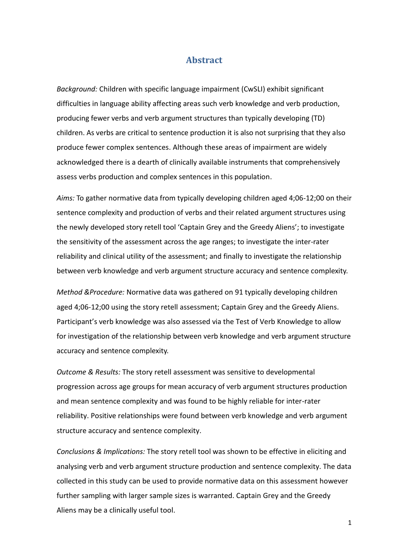## **Abstract**

<span id="page-4-0"></span>*Background:* Children with specific language impairment (CwSLI) exhibit significant difficulties in language ability affecting areas such verb knowledge and verb production, producing fewer verbs and verb argument structures than typically developing (TD) children. As verbs are critical to sentence production it is also not surprising that they also produce fewer complex sentences. Although these areas of impairment are widely acknowledged there is a dearth of clinically available instruments that comprehensively assess verbs production and complex sentences in this population.

*Aims:* To gather normative data from typically developing children aged 4;06-12;00 on their sentence complexity and production of verbs and their related argument structures using the newly developed story retell tool 'Captain Grey and the Greedy Aliens'; to investigate the sensitivity of the assessment across the age ranges; to investigate the inter-rater reliability and clinical utility of the assessment; and finally to investigate the relationship between verb knowledge and verb argument structure accuracy and sentence complexity.

*Method &Procedure:* Normative data was gathered on 91 typically developing children aged 4;06-12;00 using the story retell assessment; Captain Grey and the Greedy Aliens. Participant's verb knowledge was also assessed via the Test of Verb Knowledge to allow for investigation of the relationship between verb knowledge and verb argument structure accuracy and sentence complexity.

*Outcome & Results:* The story retell assessment was sensitive to developmental progression across age groups for mean accuracy of verb argument structures production and mean sentence complexity and was found to be highly reliable for inter-rater reliability. Positive relationships were found between verb knowledge and verb argument structure accuracy and sentence complexity.

*Conclusions & Implications:* The story retell tool was shown to be effective in eliciting and analysing verb and verb argument structure production and sentence complexity. The data collected in this study can be used to provide normative data on this assessment however further sampling with larger sample sizes is warranted. Captain Grey and the Greedy Aliens may be a clinically useful tool.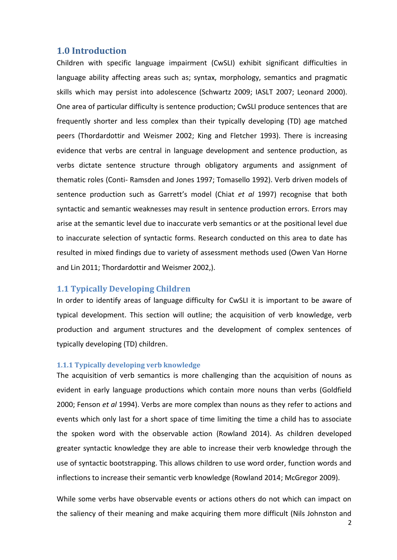## <span id="page-5-0"></span>**1.0 Introduction**

Children with specific language impairment (CwSLI) exhibit significant difficulties in language ability affecting areas such as; syntax, morphology, semantics and pragmatic skills which may persist into adolescence (Schwartz 2009; IASLT 2007; Leonard 2000). One area of particular difficulty is sentence production; CwSLI produce sentences that are frequently shorter and less complex than their typically developing (TD) age matched peers (Thordardottir and Weismer 2002; King and Fletcher 1993). There is increasing evidence that verbs are central in language development and sentence production, as verbs dictate sentence structure through obligatory arguments and assignment of thematic roles (Conti- Ramsden and Jones 1997; Tomasello 1992). Verb driven models of sentence production such as Garrett's model (Chiat *et al* 1997) recognise that both syntactic and semantic weaknesses may result in sentence production errors. Errors may arise at the semantic level due to inaccurate verb semantics or at the positional level due to inaccurate selection of syntactic forms. Research conducted on this area to date has resulted in mixed findings due to variety of assessment methods used (Owen Van Horne and Lin 2011; Thordardottir and Weismer 2002,).

## <span id="page-5-1"></span>**1.1 Typically Developing Children**

In order to identify areas of language difficulty for CwSLI it is important to be aware of typical development. This section will outline; the acquisition of verb knowledge, verb production and argument structures and the development of complex sentences of typically developing (TD) children.

### <span id="page-5-2"></span>**1.1.1 Typically developing verb knowledge**

The acquisition of verb semantics is more challenging than the acquisition of nouns as evident in early language productions which contain more nouns than verbs (Goldfield 2000; Fenson *et al* 1994). Verbs are more complex than nouns as they refer to actions and events which only last for a short space of time limiting the time a child has to associate the spoken word with the observable action (Rowland 2014). As children developed greater syntactic knowledge they are able to increase their verb knowledge through the use of syntactic bootstrapping. This allows children to use word order, function words and inflections to increase their semantic verb knowledge (Rowland 2014; McGregor 2009).

While some verbs have observable events or actions others do not which can impact on the saliency of their meaning and make acquiring them more difficult (Nils Johnston and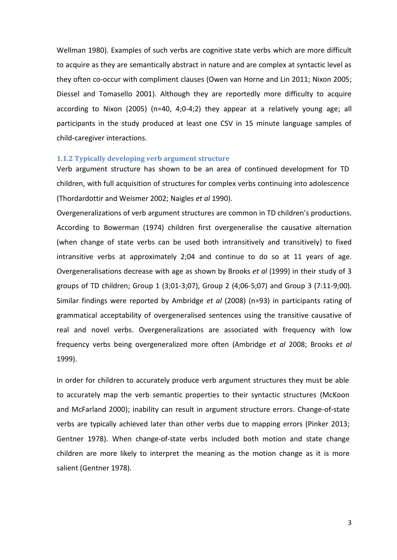Wellman 1980). Examples of such verbs are cognitive state verbs which are more difficult to acquire as they are semantically abstract in nature and are complex at syntactic level as they often co-occur with compliment clauses (Owen van Horne and Lin 2011; Nixon 2005; Diessel and Tomasello 2001). Although they are reportedly more difficulty to acquire according to Nixon (2005) (n=40, 4;0-4;2) they appear at a relatively young age; all participants in the study produced at least one CSV in 15 minute language samples of child-caregiver interactions.

#### <span id="page-6-0"></span>**1.1.2 Typically developing verb argument structure**

Verb argument structure has shown to be an area of continued development for TD children, with full acquisition of structures for complex verbs continuing into adolescence (Thordardottir and Weismer 2002; Naigles *et al* 1990).

Overgeneralizations of verb argument structures are common in TD children's productions. According to Bowerman (1974) children first overgeneralise the causative alternation (when change of state verbs can be used both intransitively and transitively) to fixed intransitive verbs at approximately 2;04 and continue to do so at 11 years of age. Overgeneralisations decrease with age as shown by Brooks *et al* (1999) in their study of 3 groups of TD children; Group 1 (3;01-3;07), Group 2 (4;06-5;07) and Group 3 (7:11-9;00). Similar findings were reported by Ambridge *et al* (2008) (n=93) in participants rating of grammatical acceptability of overgeneralised sentences using the transitive causative of real and novel verbs. Overgeneralizations are associated with frequency with low frequency verbs being overgeneralized more often (Ambridge *et al* 2008; Brooks *et al*  1999).

In order for children to accurately produce verb argument structures they must be able to accurately map the verb semantic properties to their syntactic structures (McKoon and McFarland 2000); inability can result in argument structure errors. Change-of-state verbs are typically achieved later than other verbs due to mapping errors (Pinker 2013; Gentner 1978). When change-of-state verbs included both motion and state change children are more likely to interpret the meaning as the motion change as it is more salient (Gentner 1978).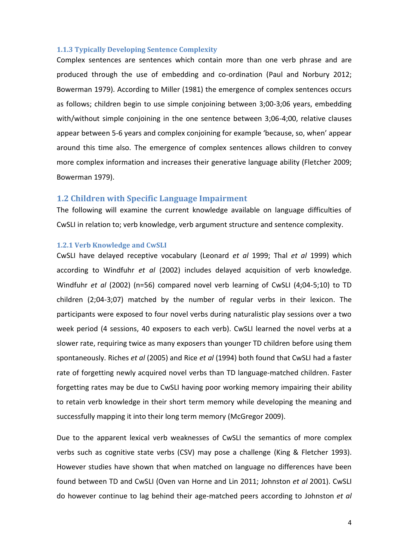#### <span id="page-7-0"></span>**1.1.3 Typically Developing Sentence Complexity**

Complex sentences are sentences which contain more than one verb phrase and are produced through the use of embedding and co-ordination (Paul and Norbury 2012; Bowerman 1979). According to Miller (1981) the emergence of complex sentences occurs as follows; children begin to use simple conjoining between 3;00-3;06 years, embedding with/without simple conjoining in the one sentence between 3;06-4;00, relative clauses appear between 5-6 years and complex conjoining for example 'because, so, when' appear around this time also. The emergence of complex sentences allows children to convey more complex information and increases their generative language ability (Fletcher 2009; Bowerman 1979).

#### <span id="page-7-1"></span>**1.2 Children with Specific Language Impairment**

The following will examine the current knowledge available on language difficulties of CwSLI in relation to; verb knowledge, verb argument structure and sentence complexity.

#### <span id="page-7-2"></span>**1.2.1 Verb Knowledge and CwSLI**

CwSLI have delayed receptive vocabulary (Leonard *et al* 1999; Thal *et al* 1999) which according to Windfuhr *et al* (2002) includes delayed acquisition of verb knowledge. Windfuhr *et al* (2002) (n=56) compared novel verb learning of CwSLI (4;04-5;10) to TD children (2;04-3;07) matched by the number of regular verbs in their lexicon. The participants were exposed to four novel verbs during naturalistic play sessions over a two week period (4 sessions, 40 exposers to each verb). CwSLI learned the novel verbs at a slower rate, requiring twice as many exposers than younger TD children before using them spontaneously. Riches *et al* (2005) and Rice *et al* (1994) both found that CwSLI had a faster rate of forgetting newly acquired novel verbs than TD language-matched children. Faster forgetting rates may be due to CwSLI having poor working memory impairing their ability to retain verb knowledge in their short term memory while developing the meaning and successfully mapping it into their long term memory (McGregor 2009).

Due to the apparent lexical verb weaknesses of CwSLI the semantics of more complex verbs such as cognitive state verbs (CSV) may pose a challenge (King & Fletcher 1993). However studies have shown that when matched on language no differences have been found between TD and CwSLI (Oven van Horne and Lin 2011; Johnston *et al* 2001). CwSLI do however continue to lag behind their age-matched peers according to Johnston *et al*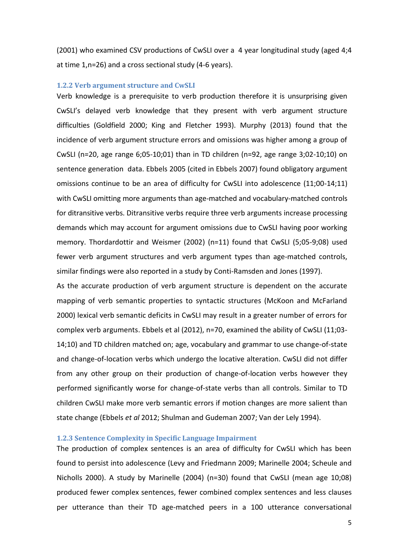(2001) who examined CSV productions of CwSLI over a 4 year longitudinal study (aged 4;4 at time 1,n=26) and a cross sectional study (4-6 years).

#### <span id="page-8-0"></span>**1.2.2 Verb argument structure and CwSLI**

Verb knowledge is a prerequisite to verb production therefore it is unsurprising given CwSLI's delayed verb knowledge that they present with verb argument structure difficulties (Goldfield 2000; King and Fletcher 1993). Murphy (2013) found that the incidence of verb argument structure errors and omissions was higher among a group of CwSLI (n=20, age range 6;05-10;01) than in TD children (n=92, age range 3;02-10;10) on sentence generation data. Ebbels 2005 (cited in Ebbels 2007) found obligatory argument omissions continue to be an area of difficulty for CwSLI into adolescence (11;00-14;11) with CwSLI omitting more arguments than age-matched and vocabulary-matched controls for ditransitive verbs. Ditransitive verbs require three verb arguments increase processing demands which may account for argument omissions due to CwSLI having poor working memory. Thordardottir and Weismer (2002) (n=11) found that CwSLI (5;05-9;08) used fewer verb argument structures and verb argument types than age-matched controls, similar findings were also reported in a study by Conti-Ramsden and Jones (1997).

As the accurate production of verb argument structure is dependent on the accurate mapping of verb semantic properties to syntactic structures (McKoon and McFarland 2000) lexical verb semantic deficits in CwSLI may result in a greater number of errors for complex verb arguments. Ebbels et al (2012), n=70, examined the ability of CwSLI (11;03- 14;10) and TD children matched on; age, vocabulary and grammar to use change-of-state and change-of-location verbs which undergo the locative alteration. CwSLI did not differ from any other group on their production of change-of-location verbs however they performed significantly worse for change-of-state verbs than all controls. Similar to TD children CwSLI make more verb semantic errors if motion changes are more salient than state change (Ebbels *et al* 2012; Shulman and Gudeman 2007; Van der Lely 1994).

#### <span id="page-8-1"></span>**1.2.3 Sentence Complexity in Specific Language Impairment**

The production of complex sentences is an area of difficulty for CwSLI which has been found to persist into adolescence (Levy and Friedmann 2009; Marinelle 2004; Scheule and Nicholls 2000). A study by Marinelle (2004) (n=30) found that CwSLI (mean age 10;08) produced fewer complex sentences, fewer combined complex sentences and less clauses per utterance than their TD age-matched peers in a 100 utterance conversational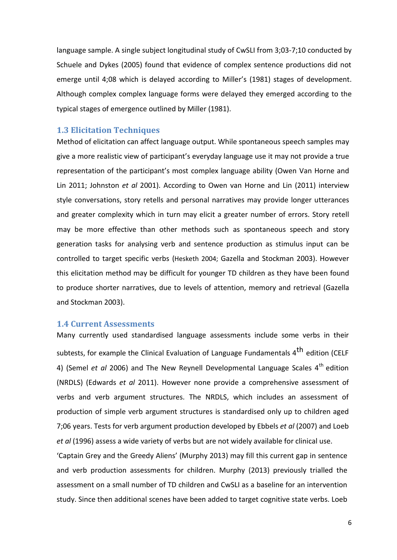language sample. A single subject longitudinal study of CwSLI from 3;03-7;10 conducted by Schuele and Dykes (2005) found that evidence of complex sentence productions did not emerge until 4;08 which is delayed according to Miller's (1981) stages of development. Although complex complex language forms were delayed they emerged according to the typical stages of emergence outlined by Miller (1981).

## <span id="page-9-0"></span>**1.3 Elicitation Techniques**

Method of elicitation can affect language output. While spontaneous speech samples may give a more realistic view of participant's everyday language use it may not provide a true representation of the participant's most complex language ability (Owen Van Horne and Lin 2011; Johnston *et al* 2001). According to Owen van Horne and Lin (2011) interview style conversations, story retells and personal narratives may provide longer utterances and greater complexity which in turn may elicit a greater number of errors. Story retell may be more effective than other methods such as spontaneous speech and story generation tasks for analysing verb and sentence production as stimulus input can be controlled to target specific verbs (Hesketh 2004; Gazella and Stockman 2003). However this elicitation method may be difficult for younger TD children as they have been found to produce shorter narratives, due to levels of attention, memory and retrieval (Gazella and Stockman 2003).

## <span id="page-9-1"></span>**1.4 Current Assessments**

Many currently used standardised language assessments include some verbs in their subtests, for example the Clinical Evaluation of Language Fundamentals 4<sup>th</sup> edition (CELF 4) (Semel *et al* 2006) and The New Reynell Developmental Language Scales 4<sup>th</sup> edition (NRDLS) (Edwards *et al* 2011). However none provide a comprehensive assessment of verbs and verb argument structures. The NRDLS, which includes an assessment of production of simple verb argument structures is standardised only up to children aged 7;06 years. Tests for verb argument production developed by Ebbels *et al* (2007) and Loeb *et al* (1996) assess a wide variety of verbs but are not widely available for clinical use.

'Captain Grey and the Greedy Aliens' (Murphy 2013) may fill this current gap in sentence and verb production assessments for children. Murphy (2013) previously trialled the assessment on a small number of TD children and CwSLI as a baseline for an intervention study. Since then additional scenes have been added to target cognitive state verbs. Loeb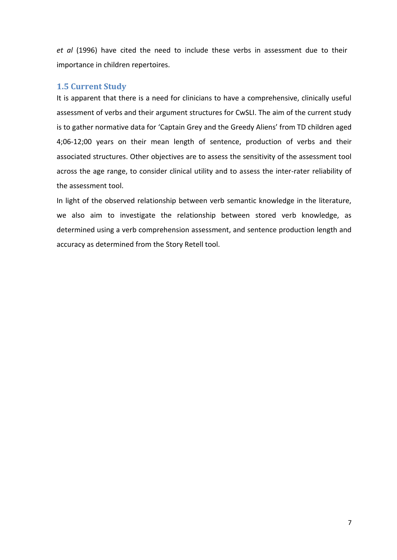*et al* (1996) have cited the need to include these verbs in assessment due to their importance in children repertoires.

# <span id="page-10-0"></span>**1.5 Current Study**

It is apparent that there is a need for clinicians to have a comprehensive, clinically useful assessment of verbs and their argument structures for CwSLI. The aim of the current study is to gather normative data for 'Captain Grey and the Greedy Aliens' from TD children aged 4;06-12;00 years on their mean length of sentence, production of verbs and their associated structures. Other objectives are to assess the sensitivity of the assessment tool across the age range, to consider clinical utility and to assess the inter-rater reliability of the assessment tool.

In light of the observed relationship between verb semantic knowledge in the literature, we also aim to investigate the relationship between stored verb knowledge, as determined using a verb comprehension assessment, and sentence production length and accuracy as determined from the Story Retell tool.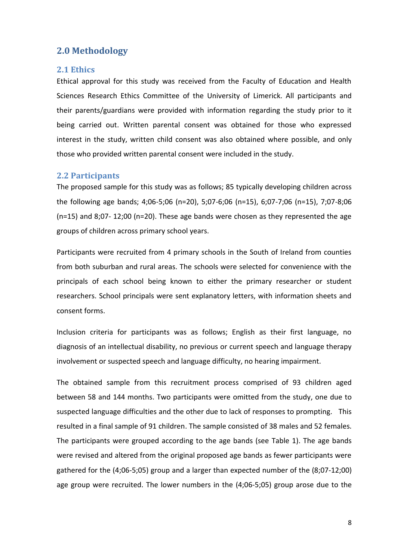# <span id="page-11-0"></span>**2.0 Methodology**

#### <span id="page-11-1"></span>**2.1 Ethics**

Ethical approval for this study was received from the Faculty of Education and Health Sciences Research Ethics Committee of the University of Limerick. All participants and their parents/guardians were provided with information regarding the study prior to it being carried out. Written parental consent was obtained for those who expressed interest in the study, written child consent was also obtained where possible, and only those who provided written parental consent were included in the study.

#### <span id="page-11-2"></span>**2.2 Participants**

The proposed sample for this study was as follows; 85 typically developing children across the following age bands; 4;06-5;06 (n=20), 5;07-6;06 (n=15), 6;07-7;06 (n=15), 7;07-8;06  $(n=15)$  and 8;07- 12;00 (n=20). These age bands were chosen as they represented the age groups of children across primary school years.

Participants were recruited from 4 primary schools in the South of Ireland from counties from both suburban and rural areas. The schools were selected for convenience with the principals of each school being known to either the primary researcher or student researchers. School principals were sent explanatory letters, with information sheets and consent forms.

Inclusion criteria for participants was as follows; English as their first language, no diagnosis of an intellectual disability, no previous or current speech and language therapy involvement or suspected speech and language difficulty, no hearing impairment.

The obtained sample from this recruitment process comprised of 93 children aged between 58 and 144 months. Two participants were omitted from the study, one due to suspected language difficulties and the other due to lack of responses to prompting. This resulted in a final sample of 91 children. The sample consisted of 38 males and 52 females. The participants were grouped according to the age bands (see Table 1). The age bands were revised and altered from the original proposed age bands as fewer participants were gathered for the (4;06-5;05) group and a larger than expected number of the (8;07-12;00) age group were recruited. The lower numbers in the (4;06-5;05) group arose due to the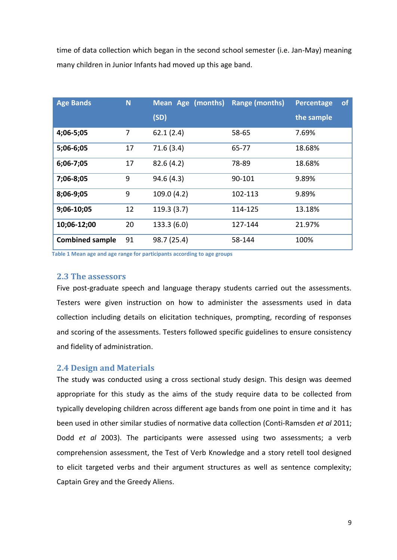time of data collection which began in the second school semester (i.e. Jan-May) meaning many children in Junior Infants had moved up this age band.

| <b>Age Bands</b>       | N  | Mean Age (months)<br>(SD) | Range (months) | of<br>Percentage<br>the sample |
|------------------------|----|---------------------------|----------------|--------------------------------|
| 4;06-5;05              | 7  | 62.1(2.4)                 | 58-65          | 7.69%                          |
| 5;06-6;05              | 17 | 71.6(3.4)                 | 65-77          | 18.68%                         |
| 6;06-7;05              | 17 | 82.6(4.2)                 | 78-89          | 18.68%                         |
| 7;06-8;05              | 9  | 94.6(4.3)                 | 90-101         | 9.89%                          |
| 8;06-9;05              | 9  | 109.0 (4.2)               | 102-113        | 9.89%                          |
| 9;06-10;05             | 12 | 119.3(3.7)                | 114-125        | 13.18%                         |
| 10;06-12;00            | 20 | 133.3 (6.0)               | 127-144        | 21.97%                         |
| <b>Combined sample</b> | 91 | 98.7 (25.4)               | 58-144         | 100%                           |

**Table 1 Mean age and age range for participants according to age groups**

## <span id="page-12-0"></span>**2.3 The assessors**

Five post-graduate speech and language therapy students carried out the assessments. Testers were given instruction on how to administer the assessments used in data collection including details on elicitation techniques, prompting, recording of responses and scoring of the assessments. Testers followed specific guidelines to ensure consistency and fidelity of administration.

#### <span id="page-12-1"></span>**2.4 Design and Materials**

The study was conducted using a cross sectional study design. This design was deemed appropriate for this study as the aims of the study require data to be collected from typically developing children across different age bands from one point in time and it has been used in other similar studies of normative data collection (Conti-Ramsden *et al* 2011; Dodd *et al* 2003). The participants were assessed using two assessments; a verb comprehension assessment, the Test of Verb Knowledge and a story retell tool designed to elicit targeted verbs and their argument structures as well as sentence complexity; Captain Grey and the Greedy Aliens.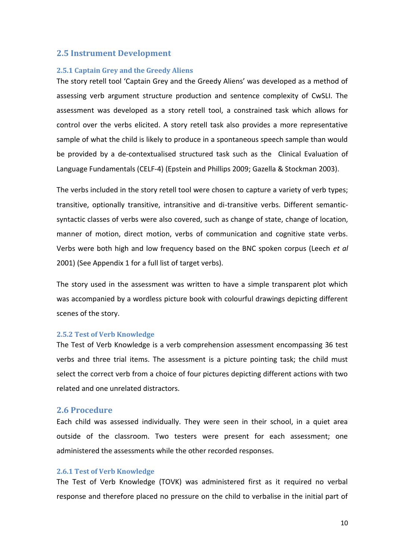### <span id="page-13-0"></span>**2.5 Instrument Development**

#### <span id="page-13-1"></span>**2.5.1 Captain Grey and the Greedy Aliens**

The story retell tool 'Captain Grey and the Greedy Aliens' was developed as a method of assessing verb argument structure production and sentence complexity of CwSLI. The assessment was developed as a story retell tool, a constrained task which allows for control over the verbs elicited. A story retell task also provides a more representative sample of what the child is likely to produce in a spontaneous speech sample than would be provided by a de-contextualised structured task such as the Clinical Evaluation of Language Fundamentals (CELF-4) (Epstein and Phillips 2009; Gazella & Stockman 2003).

The verbs included in the story retell tool were chosen to capture a variety of verb types; transitive, optionally transitive, intransitive and di-transitive verbs. Different semanticsyntactic classes of verbs were also covered, such as change of state, change of location, manner of motion, direct motion, verbs of communication and cognitive state verbs. Verbs were both high and low frequency based on the BNC spoken corpus (Leech *et al* 2001) (See Appendix 1 for a full list of target verbs).

The story used in the assessment was written to have a simple transparent plot which was accompanied by a wordless picture book with colourful drawings depicting different scenes of the story.

#### <span id="page-13-2"></span>**2.5.2 Test of Verb Knowledge**

The Test of Verb Knowledge is a verb comprehension assessment encompassing 36 test verbs and three trial items. The assessment is a picture pointing task; the child must select the correct verb from a choice of four pictures depicting different actions with two related and one unrelated distractors.

### <span id="page-13-3"></span>**2.6 Procedure**

Each child was assessed individually. They were seen in their school, in a quiet area outside of the classroom. Two testers were present for each assessment; one administered the assessments while the other recorded responses.

#### <span id="page-13-4"></span>**2.6.1 Test of Verb Knowledge**

The Test of Verb Knowledge (TOVK) was administered first as it required no verbal response and therefore placed no pressure on the child to verbalise in the initial part of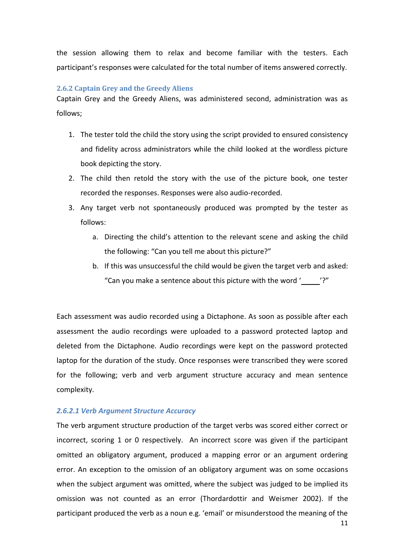the session allowing them to relax and become familiar with the testers. Each participant's responses were calculated for the total number of items answered correctly.

#### <span id="page-14-0"></span>**2.6.2 Captain Grey and the Greedy Aliens**

Captain Grey and the Greedy Aliens, was administered second, administration was as follows;

- 1. The tester told the child the story using the script provided to ensured consistency and fidelity across administrators while the child looked at the wordless picture book depicting the story.
- 2. The child then retold the story with the use of the picture book, one tester recorded the responses. Responses were also audio-recorded.
- 3. Any target verb not spontaneously produced was prompted by the tester as follows:
	- a. Directing the child's attention to the relevant scene and asking the child the following: "Can you tell me about this picture?"
	- b. If this was unsuccessful the child would be given the target verb and asked: "Can you make a sentence about this picture with the word ' '?"

Each assessment was audio recorded using a Dictaphone. As soon as possible after each assessment the audio recordings were uploaded to a password protected laptop and deleted from the Dictaphone. Audio recordings were kept on the password protected laptop for the duration of the study. Once responses were transcribed they were scored for the following; verb and verb argument structure accuracy and mean sentence complexity.

#### *2.6.2.1 Verb Argument Structure Accuracy*

The verb argument structure production of the target verbs was scored either correct or incorrect, scoring 1 or 0 respectively. An incorrect score was given if the participant omitted an obligatory argument, produced a mapping error or an argument ordering error. An exception to the omission of an obligatory argument was on some occasions when the subject argument was omitted, where the subject was judged to be implied its omission was not counted as an error (Thordardottir and Weismer 2002). If the participant produced the verb as a noun e.g. 'email' or misunderstood the meaning of the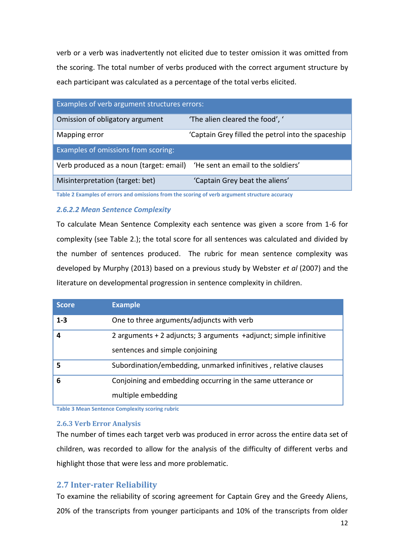verb or a verb was inadvertently not elicited due to tester omission it was omitted from the scoring. The total number of verbs produced with the correct argument structure by each participant was calculated as a percentage of the total verbs elicited.

| Examples of verb argument structures errors: |                                                    |  |  |  |  |  |  |
|----------------------------------------------|----------------------------------------------------|--|--|--|--|--|--|
| Omission of obligatory argument              | 'The alien cleared the food', '                    |  |  |  |  |  |  |
| Mapping error                                | 'Captain Grey filled the petrol into the spaceship |  |  |  |  |  |  |
| Examples of omissions from scoring:          |                                                    |  |  |  |  |  |  |
| Verb produced as a noun (target: email)      | 'He sent an email to the soldiers'                 |  |  |  |  |  |  |
| Misinterpretation (target: bet)              | 'Captain Grey beat the aliens'                     |  |  |  |  |  |  |

**Table 2 Examples of errors and omissions from the scoring of verb argument structure accuracy**

## *2.6.2.2 Mean Sentence Complexity*

To calculate Mean Sentence Complexity each sentence was given a score from 1-6 for complexity (see Table 2.); the total score for all sentences was calculated and divided by the number of sentences produced. The rubric for mean sentence complexity was developed by Murphy (2013) based on a previous study by Webster *et al* (2007) and the literature on developmental progression in sentence complexity in children.

| <b>Score</b> | <b>Example</b>                                                                                            |
|--------------|-----------------------------------------------------------------------------------------------------------|
| $1 - 3$      | One to three arguments/adjuncts with verb                                                                 |
| 4            | 2 arguments $+$ 2 adjuncts; 3 arguments $+$ adjunct; simple infinitive<br>sentences and simple conjoining |
| 5            | Subordination/embedding, unmarked infinitives, relative clauses                                           |
| 6            | Conjoining and embedding occurring in the same utterance or<br>multiple embedding                         |

**Table 3 Mean Sentence Complexity scoring rubric**

## <span id="page-15-0"></span>**2.6.3 Verb Error Analysis**

The number of times each target verb was produced in error across the entire data set of children, was recorded to allow for the analysis of the difficulty of different verbs and highlight those that were less and more problematic.

# <span id="page-15-1"></span>**2.7 Inter-rater Reliability**

To examine the reliability of scoring agreement for Captain Grey and the Greedy Aliens, 20% of the transcripts from younger participants and 10% of the transcripts from older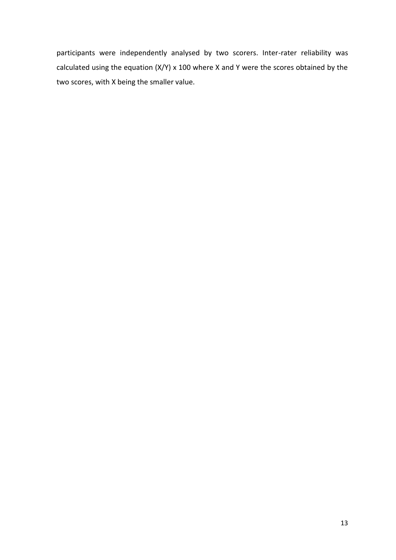<span id="page-16-0"></span>participants were independently analysed by two scorers. Inter-rater reliability was calculated using the equation  $(X/Y)$  x 100 where X and Y were the scores obtained by the two scores, with X being the smaller value.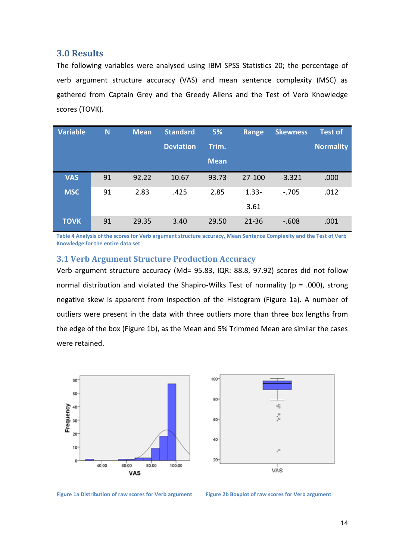## **3.0 Results**

The following variables were analysed using IBM SPSS Statistics 20; the percentage of verb argument structure accuracy (VAS) and mean sentence complexity (MSC) as gathered from Captain Grey and the Greedy Aliens and the Test of Verb Knowledge scores (TOVK).

| <b>Variable</b> | N  | <b>Mean</b> | <b>Standard</b>  | 5%          | Range     | <b>Skewness</b> | <b>Test of</b> |
|-----------------|----|-------------|------------------|-------------|-----------|-----------------|----------------|
|                 |    |             | <b>Deviation</b> | Trim.       |           |                 | Normality      |
|                 |    |             |                  | <b>Mean</b> |           |                 |                |
| <b>VAS</b>      | 91 | 92.22       | 10.67            | 93.73       | 27-100    | $-3.321$        | .000           |
| <b>MSC</b>      | 91 | 2.83        | .425             | 2.85        | $1.33 -$  | $-.705$         | .012           |
|                 |    |             |                  |             | 3.61      |                 |                |
| <b>TOVK</b>     | 91 | 29.35       | 3.40             | 29.50       | $21 - 36$ | $-.608$         | .001           |

<span id="page-17-0"></span>**Table 4 Analysis of the scores for Verb argument structure accuracy, Mean Sentence Complexity and the Test of Verb Knowledge for the entire data set**

## **3.1 Verb Argument Structure Production Accuracy**

Verb argument structure accuracy (Md= 95.83, IQR: 88.8, 97.92) scores did not follow normal distribution and violated the Shapiro-Wilks Test of normality (p = .000), strong negative skew is apparent from inspection of the Histogram (Figure 1a). A number of outliers were present in the data with three outliers more than three box lengths from the edge of the box (Figure 1b), as the Mean and 5% Trimmed Mean are similar the cases were retained.



Figure 1a Distribution of raw scores for Verb argument Figure 2b Boxplot of raw scores for Verb argument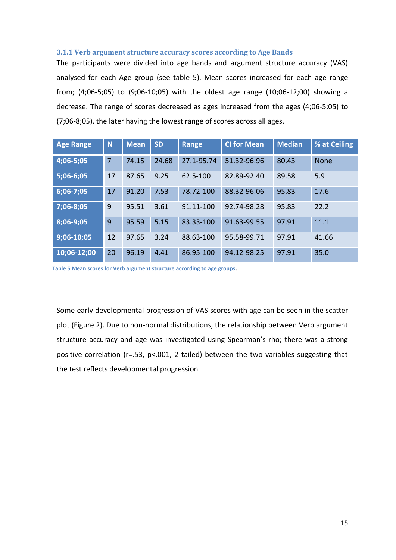#### <span id="page-18-0"></span>**3.1.1 Verb argument structure accuracy scores according to Age Bands**

The participants were divided into age bands and argument structure accuracy (VAS) analysed for each Age group (see table 5). Mean scores increased for each age range from; (4;06-5;05) to (9;06-10;05) with the oldest age range (10;06-12;00) showing a decrease. The range of scores decreased as ages increased from the ages (4;06-5;05) to (7;06-8;05), the later having the lowest range of scores across all ages.

| <b>Age Range</b> | N  | <b>Mean</b> | <b>SD</b> | <b>Range</b> | <b>CI for Mean</b> | <b>Median</b> | % at Ceiling |
|------------------|----|-------------|-----------|--------------|--------------------|---------------|--------------|
| 4;06-5;05        | 7  | 74.15       | 24.68     | 27.1-95.74   | 51.32-96.96        | 80.43         | <b>None</b>  |
| $5;06-6;05$      | 17 | 87.65       | 9.25      | 62.5-100     | 82.89-92.40        | 89.58         | 5.9          |
| $6;06-7;05$      | 17 | 91.20       | 7.53      | 78.72-100    | 88.32-96.06        | 95.83         | 17.6         |
| 7;06-8;05        | 9  | 95.51       | 3.61      | 91.11-100    | 92.74-98.28        | 95.83         | 22.2         |
| 8;06-9;05        | 9  | 95.59       | 5.15      | 83.33-100    | 91.63-99.55        | 97.91         | 11.1         |
| 9;06-10;05       | 12 | 97.65       | 3.24      | 88.63-100    | 95.58-99.71        | 97.91         | 41.66        |
| 10;06-12;00      | 20 | 96.19       | 4.41      | 86.95-100    | 94.12-98.25        | 97.91         | 35.0         |

**Table 5 Mean scores for Verb argument structure according to age groups**.

Some early developmental progression of VAS scores with age can be seen in the scatter plot (Figure 2). Due to non-normal distributions, the relationship between Verb argument structure accuracy and age was investigated using Spearman's rho; there was a strong positive correlation (r=.53, p<.001, 2 tailed) between the two variables suggesting that the test reflects developmental progression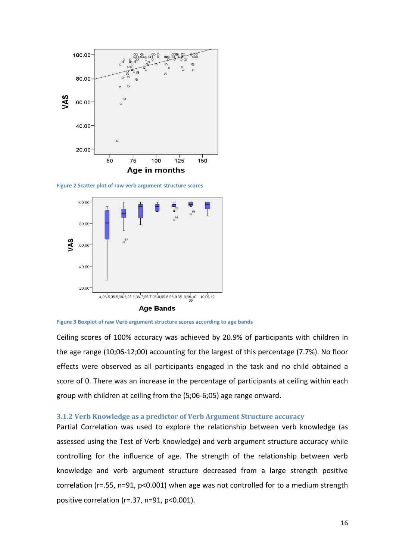

**Figure 2 Scatter plot of raw verb argument structure scores**





Ceiling scores of 100% accuracy was achieved by 20.9% of participants with children in the age range (10;06-12;00) accounting for the largest of this percentage (7.7%). No floor effects were observed as all participants engaged in the task and no child obtained a score of 0. There was an increase in the percentage of participants at ceiling within each group with children at ceiling from the (5;06-6;05) age range onward.

#### <span id="page-19-0"></span>**3.1.2 Verb Knowledge as a predictor of Verb Argument Structure accuracy**

Partial Correlation was used to explore the relationship between verb knowledge (as assessed using the Test of Verb Knowledge) and verb argument structure accuracy while controlling for the influence of age. The strength of the relationship between verb knowledge and verb argument structure decreased from a large strength positive correlation (r=.55, n=91, p<0.001) when age was not controlled for to a medium strength positive correlation (r=.37, n=91, p<0.001).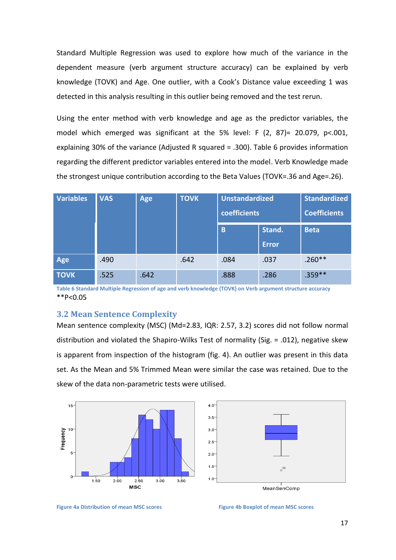Standard Multiple Regression was used to explore how much of the variance in the dependent measure (verb argument structure accuracy) can be explained by verb knowledge (TOVK) and Age. One outlier, with a Cook's Distance value exceeding 1 was detected in this analysis resulting in this outlier being removed and the test rerun.

Using the enter method with verb knowledge and age as the predictor variables, the model which emerged was significant at the 5% level: F  $(2, 87)$ = 20.079, p<.001, explaining 30% of the variance (Adjusted R squared = .300). Table 6 provides information regarding the different predictor variables entered into the model. Verb Knowledge made the strongest unique contribution according to the Beta Values (TOVK=.36 and Age=.26).

| <b>Variables</b> | <b>VAS</b> | Age  | <b>Standardized</b><br><b>TOVK</b><br>coefficients<br><b>Coefficients</b> |        | <b>Unstandardized</b> |           |
|------------------|------------|------|---------------------------------------------------------------------------|--------|-----------------------|-----------|
|                  |            |      | B                                                                         | Stand. | <b>Beta</b>           |           |
|                  |            |      |                                                                           |        | <b>Error</b>          |           |
| Age              | .490       |      | .642                                                                      | .084   | .037                  | $.260**$  |
| <b>TOVK</b>      | .525       | .642 |                                                                           | .888   | .286                  | $.359***$ |

**Table 6 Standard Multiple Regression of age and verb knowledge (TOVK) on Verb argument structure accuracy**  \*\*P<0.05

#### <span id="page-20-0"></span>**3.2 Mean Sentence Complexity**

Mean sentence complexity (MSC) (Md=2.83, IQR: 2.57, 3.2) scores did not follow normal distribution and violated the Shapiro-Wilks Test of normality (Sig. = .012), negative skew is apparent from inspection of the histogram (fig. 4). An outlier was present in this data set. As the Mean and 5% Trimmed Mean were similar the case was retained. Due to the skew of the data non-parametric tests were utilised.





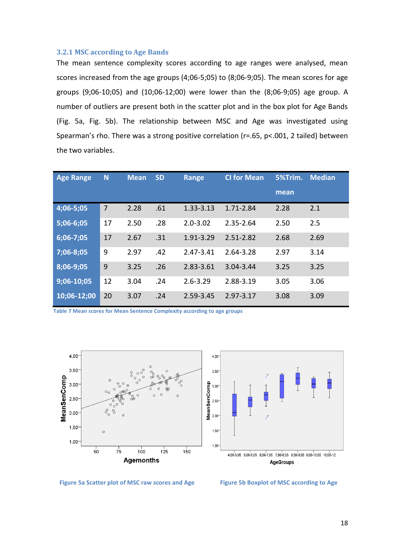#### <span id="page-21-0"></span>**3.2.1 MSC according to Age Bands**

The mean sentence complexity scores according to age ranges were analysed, mean scores increased from the age groups (4;06-5;05) to (8;06-9;05). The mean scores for age groups (9;06-10;05) and (10;06-12;00) were lower than the (8;06-9;05) age group. A number of outliers are present both in the scatter plot and in the box plot for Age Bands (Fig. 5a, Fig. 5b). The relationship between MSC and Age was investigated using Spearman's rho. There was a strong positive correlation (r=.65, p<.001, 2 tailed) between the two variables.

| <b>Age Range</b> | N  | <b>Mean</b> | <b>SD</b> | <b>Range</b> | <b>CI for Mean</b> | 5%Trim. | <b>Median</b> |
|------------------|----|-------------|-----------|--------------|--------------------|---------|---------------|
|                  |    |             |           |              |                    | mean    |               |
| 4;06-5;05        | 7  | 2.28        | .61       | 1.33-3.13    | 1.71-2.84          | 2.28    | 2.1           |
| 5;06-6;05        | 17 | 2.50        | .28       | $2.0 - 3.02$ | 2.35-2.64          | 2.50    | 2.5           |
| 6;06-7;05        | 17 | 2.67        | .31       | 1.91-3.29    | 2.51-2.82          | 2.68    | 2.69          |
| 7;06-8;05        | 9  | 2.97        | .42       | 2.47-3.41    | 2.64-3.28          | 2.97    | 3.14          |
| 8;06-9;05        | 9  | 3.25        | .26       | 2.83-3.61    | 3.04-3.44          | 3.25    | 3.25          |
| $9;06-10;05$     | 12 | 3.04        | .24       | $2.6 - 3.29$ | 2.88-3.19          | 3.05    | 3.06          |
| 10;06-12;00      | 20 | 3.07        | .24       | 2.59-3.45    | $2.97 - 3.17$      | 3.08    | 3.09          |

**Table 7 Mean scores for Mean Sentence Complexity according to age groups**



Figure 5a Scatter plot of MSC raw scores and Age Figure 5b Boxplot of MSC according to Age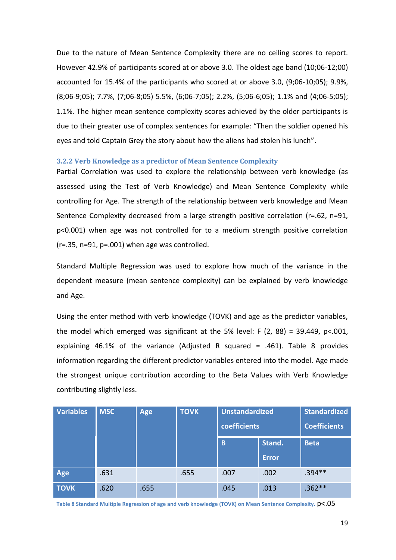Due to the nature of Mean Sentence Complexity there are no ceiling scores to report. However 42.9% of participants scored at or above 3.0. The oldest age band (10;06-12;00) accounted for 15.4% of the participants who scored at or above 3.0, (9;06-10;05); 9.9%, (8;06-9;05); 7.7%, (7;06-8;05) 5.5%, (6;06-7;05); 2.2%, (5;06-6;05); 1.1% and (4;06-5;05); 1.1%. The higher mean sentence complexity scores achieved by the older participants is due to their greater use of complex sentences for example: "Then the soldier opened his eyes and told Captain Grey the story about how the aliens had stolen his lunch".

#### <span id="page-22-0"></span>**3.2.2 Verb Knowledge as a predictor of Mean Sentence Complexity**

Partial Correlation was used to explore the relationship between verb knowledge (as assessed using the Test of Verb Knowledge) and Mean Sentence Complexity while controlling for Age. The strength of the relationship between verb knowledge and Mean Sentence Complexity decreased from a large strength positive correlation (r=.62, n=91, p<0.001) when age was not controlled for to a medium strength positive correlation (r=.35, n=91, p=.001) when age was controlled.

Standard Multiple Regression was used to explore how much of the variance in the dependent measure (mean sentence complexity) can be explained by verb knowledge and Age.

Using the enter method with verb knowledge (TOVK) and age as the predictor variables, the model which emerged was significant at the 5% level: F  $(2, 88) = 39.449$ , p<.001, explaining 46.1% of the variance (Adjusted R squared = .461). Table 8 provides information regarding the different predictor variables entered into the model. Age made the strongest unique contribution according to the Beta Values with Verb Knowledge contributing slightly less.

| <b>Variables</b> | <b>MSC</b> | Age  | <b>Standardized</b><br><b>Unstandardized</b><br><b>TOVK</b><br>coefficients<br><b>Coefficients</b> |      |              |             |
|------------------|------------|------|----------------------------------------------------------------------------------------------------|------|--------------|-------------|
|                  |            |      |                                                                                                    |      |              |             |
|                  |            |      |                                                                                                    | B    | Stand.       | <b>Beta</b> |
|                  |            |      |                                                                                                    |      | <b>Error</b> |             |
| Age              | .631       |      | .655                                                                                               | .007 | .002         | $.394**$    |
| <b>TOVK</b>      | .620       | .655 |                                                                                                    | .045 | .013         | $.362**$    |

**Table 8 Standard Multiple Regression of age and verb knowledge (TOVK) on Mean Sentence Complexity.** p<.05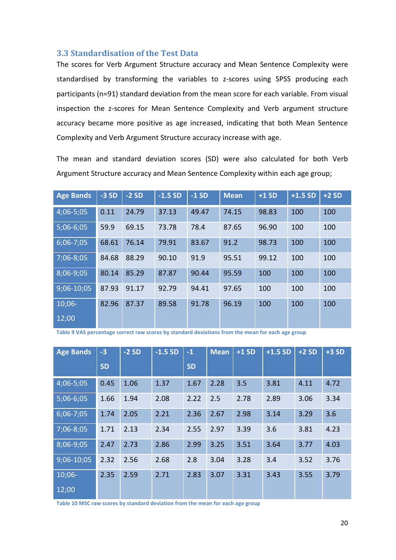## <span id="page-23-0"></span>**3.3 Standardisation of the Test Data**

The scores for Verb Argument Structure accuracy and Mean Sentence Complexity were standardised by transforming the variables to z-scores using SPSS producing each participants (n=91) standard deviation from the mean score for each variable. From visual inspection the z-scores for Mean Sentence Complexity and Verb argument structure accuracy became more positive as age increased, indicating that both Mean Sentence Complexity and Verb Argument Structure accuracy increase with age.

The mean and standard deviation scores (SD) were also calculated for both Verb Argument Structure accuracy and Mean Sentence Complexity within each age group;

| <b>Age Bands</b> | $-3SD$ | $-2SD$ | $-1.5SD$ | $-1SD$ | <b>Mean</b> | $+1SD$ | $+1.5$ SD | $+2SD$ |
|------------------|--------|--------|----------|--------|-------------|--------|-----------|--------|
| 4;06-5;05        | 0.11   | 24.79  | 37.13    | 49.47  | 74.15       | 98.83  | 100       | 100    |
| 5;06-6;05        | 59.9   | 69.15  | 73.78    | 78.4   | 87.65       | 96.90  | 100       | 100    |
| $6;06-7;05$      | 68.61  | 76.14  | 79.91    | 83.67  | 91.2        | 98.73  | 100       | 100    |
| 7;06-8;05        | 84.68  | 88.29  | 90.10    | 91.9   | 95.51       | 99.12  | 100       | 100    |
| 8;06-9;05        | 80.14  | 85.29  | 87.87    | 90.44  | 95.59       | 100    | 100       | 100    |
| 9;06-10;05       | 87.93  | 91.17  | 92.79    | 94.41  | 97.65       | 100    | 100       | 100    |
| $10;06-$         | 82.96  | 87.37  | 89.58    | 91.78  | 96.19       | 100    | 100       | 100    |
| 12;00            |        |        |          |        |             |        |           |        |

**Table 9 VAS percentage correct raw scores by standard deviations from the mean for each age group**

| <b>Age Bands</b> | $-3$      | $-2SD$ | $-1.5SD$ | $-1$      | <b>Mean</b> | $+1SD$ | $+1.5$ SD | $+2SD$ | $+3SD$ |
|------------------|-----------|--------|----------|-----------|-------------|--------|-----------|--------|--------|
|                  | <b>SD</b> |        |          | <b>SD</b> |             |        |           |        |        |
| 4;06-5;05        | 0.45      | 1.06   | 1.37     | 1.67      | 2.28        | 3.5    | 3.81      | 4.11   | 4.72   |
| $5;06-6;05$      | 1.66      | 1.94   | 2.08     | 2.22      | 2.5         | 2.78   | 2.89      | 3.06   | 3.34   |
| $6;06-7;05$      | 1.74      | 2.05   | 2.21     | 2.36      | 2.67        | 2.98   | 3.14      | 3.29   | 3.6    |
| 7;06-8;05        | 1.71      | 2.13   | 2.34     | 2.55      | 2.97        | 3.39   | 3.6       | 3.81   | 4.23   |
| 8;06-9;05        | 2.47      | 2.73   | 2.86     | 2.99      | 3.25        | 3.51   | 3.64      | 3.77   | 4.03   |
| 9;06-10;05       | 2.32      | 2.56   | 2.68     | 2.8       | 3.04        | 3.28   | 3.4       | 3.52   | 3.76   |
| $10;06-$         | 2.35      | 2.59   | 2.71     | 2.83      | 3.07        | 3.31   | 3.43      | 3.55   | 3.79   |
| 12;00            |           |        |          |           |             |        |           |        |        |

**Table 10 MSC raw scores by standard deviation from the mean for each age group**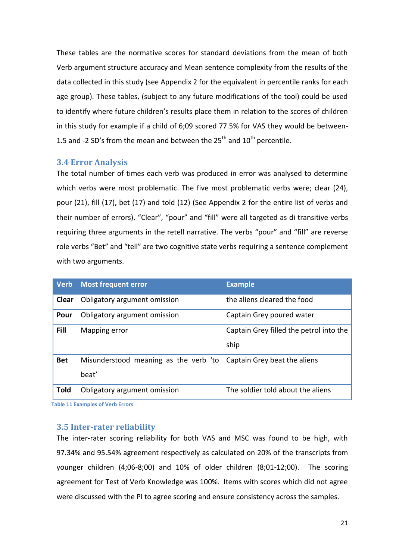These tables are the normative scores for standard deviations from the mean of both Verb argument structure accuracy and Mean sentence complexity from the results of the data collected in this study (see Appendix 2 for the equivalent in percentile ranks for each age group). These tables, (subject to any future modifications of the tool) could be used to identify where future children's results place them in relation to the scores of children in this study for example if a child of 6;09 scored 77.5% for VAS they would be between-1.5 and -2 SD's from the mean and between the  $25<sup>th</sup>$  and  $10<sup>th</sup>$  percentile.

## <span id="page-24-0"></span>**3.4 Error Analysis**

The total number of times each verb was produced in error was analysed to determine which verbs were most problematic. The five most problematic verbs were; clear (24), pour (21), fill (17), bet (17) and told (12) (See Appendix 2 for the entire list of verbs and their number of errors). "Clear", "pour" and "fill" were all targeted as di transitive verbs requiring three arguments in the retell narrative. The verbs "pour" and "fill" are reverse role verbs "Bet" and "tell" are two cognitive state verbs requiring a sentence complement with two arguments.

| <b>Verb</b> | <b>Most frequent error</b>                                         | <b>Example</b>                          |
|-------------|--------------------------------------------------------------------|-----------------------------------------|
| Clear       | Obligatory argument omission                                       | the aliens cleared the food             |
| Pour        | Obligatory argument omission                                       | Captain Grey poured water               |
| Fill        | Mapping error                                                      | Captain Grey filled the petrol into the |
|             |                                                                    | ship                                    |
| <b>Bet</b>  | Misunderstood meaning as the verb 'to Captain Grey beat the aliens |                                         |
|             | beat'                                                              |                                         |
| <b>Told</b> | Obligatory argument omission                                       | The soldier told about the aliens       |

**Table 11 Examples of Verb Errors**

## <span id="page-24-1"></span>**3.5 Inter-rater reliability**

<span id="page-24-2"></span>The inter-rater scoring reliability for both VAS and MSC was found to be high, with 97.34% and 95.54% agreement respectively as calculated on 20% of the transcripts from younger children (4;06-8;00) and 10% of older children (8;01-12;00). The scoring agreement for Test of Verb Knowledge was 100%. Items with scores which did not agree were discussed with the PI to agree scoring and ensure consistency across the samples.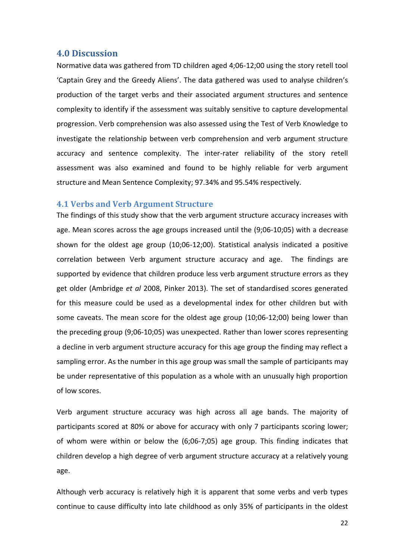## **4.0 Discussion**

Normative data was gathered from TD children aged 4;06-12;00 using the story retell tool 'Captain Grey and the Greedy Aliens'. The data gathered was used to analyse children's production of the target verbs and their associated argument structures and sentence complexity to identify if the assessment was suitably sensitive to capture developmental progression. Verb comprehension was also assessed using the Test of Verb Knowledge to investigate the relationship between verb comprehension and verb argument structure accuracy and sentence complexity. The inter-rater reliability of the story retell assessment was also examined and found to be highly reliable for verb argument structure and Mean Sentence Complexity; 97.34% and 95.54% respectively.

### <span id="page-25-0"></span>**4.1 Verbs and Verb Argument Structure**

The findings of this study show that the verb argument structure accuracy increases with age. Mean scores across the age groups increased until the (9;06-10;05) with a decrease shown for the oldest age group (10;06-12;00). Statistical analysis indicated a positive correlation between Verb argument structure accuracy and age. The findings are supported by evidence that children produce less verb argument structure errors as they get older (Ambridge *et al* 2008, Pinker 2013). The set of standardised scores generated for this measure could be used as a developmental index for other children but with some caveats. The mean score for the oldest age group (10;06-12;00) being lower than the preceding group (9;06-10;05) was unexpected. Rather than lower scores representing a decline in verb argument structure accuracy for this age group the finding may reflect a sampling error. As the number in this age group was small the sample of participants may be under representative of this population as a whole with an unusually high proportion of low scores.

Verb argument structure accuracy was high across all age bands. The majority of participants scored at 80% or above for accuracy with only 7 participants scoring lower; of whom were within or below the (6;06-7;05) age group. This finding indicates that children develop a high degree of verb argument structure accuracy at a relatively young age.

Although verb accuracy is relatively high it is apparent that some verbs and verb types continue to cause difficulty into late childhood as only 35% of participants in the oldest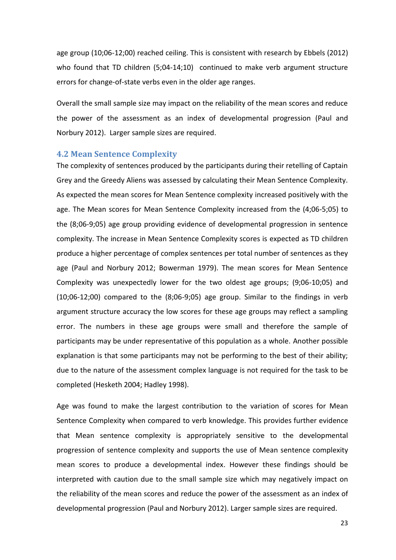age group (10;06-12;00) reached ceiling. This is consistent with research by Ebbels (2012) who found that TD children (5;04-14;10) continued to make verb argument structure errors for change-of-state verbs even in the older age ranges.

Overall the small sample size may impact on the reliability of the mean scores and reduce the power of the assessment as an index of developmental progression (Paul and Norbury 2012). Larger sample sizes are required.

#### <span id="page-26-0"></span>**4.2 Mean Sentence Complexity**

The complexity of sentences produced by the participants during their retelling of Captain Grey and the Greedy Aliens was assessed by calculating their Mean Sentence Complexity. As expected the mean scores for Mean Sentence complexity increased positively with the age. The Mean scores for Mean Sentence Complexity increased from the (4;06-5;05) to the (8;06-9;05) age group providing evidence of developmental progression in sentence complexity. The increase in Mean Sentence Complexity scores is expected as TD children produce a higher percentage of complex sentences per total number of sentences as they age (Paul and Norbury 2012; Bowerman 1979). The mean scores for Mean Sentence Complexity was unexpectedly lower for the two oldest age groups; (9;06-10;05) and (10;06-12;00) compared to the (8;06-9;05) age group. Similar to the findings in verb argument structure accuracy the low scores for these age groups may reflect a sampling error. The numbers in these age groups were small and therefore the sample of participants may be under representative of this population as a whole. Another possible explanation is that some participants may not be performing to the best of their ability; due to the nature of the assessment complex language is not required for the task to be completed (Hesketh 2004; Hadley 1998).

Age was found to make the largest contribution to the variation of scores for Mean Sentence Complexity when compared to verb knowledge. This provides further evidence that Mean sentence complexity is appropriately sensitive to the developmental progression of sentence complexity and supports the use of Mean sentence complexity mean scores to produce a developmental index. However these findings should be interpreted with caution due to the small sample size which may negatively impact on the reliability of the mean scores and reduce the power of the assessment as an index of developmental progression (Paul and Norbury 2012). Larger sample sizes are required.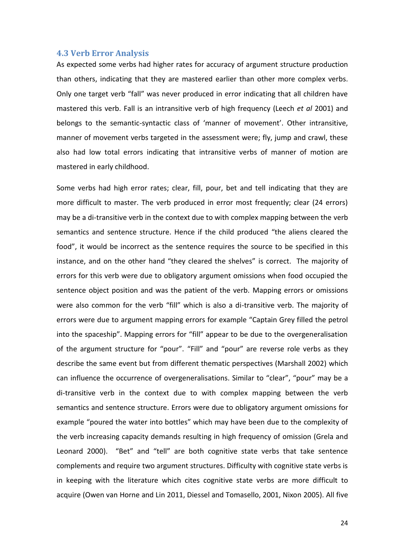#### <span id="page-27-0"></span>**4.3 Verb Error Analysis**

As expected some verbs had higher rates for accuracy of argument structure production than others, indicating that they are mastered earlier than other more complex verbs. Only one target verb "fall" was never produced in error indicating that all children have mastered this verb. Fall is an intransitive verb of high frequency (Leech *et al* 2001) and belongs to the semantic-syntactic class of 'manner of movement'. Other intransitive, manner of movement verbs targeted in the assessment were; fly, jump and crawl, these also had low total errors indicating that intransitive verbs of manner of motion are mastered in early childhood.

Some verbs had high error rates; clear, fill, pour, bet and tell indicating that they are more difficult to master. The verb produced in error most frequently; clear (24 errors) may be a di-transitive verb in the context due to with complex mapping between the verb semantics and sentence structure. Hence if the child produced "the aliens cleared the food", it would be incorrect as the sentence requires the source to be specified in this instance, and on the other hand "they cleared the shelves" is correct. The majority of errors for this verb were due to obligatory argument omissions when food occupied the sentence object position and was the patient of the verb. Mapping errors or omissions were also common for the verb "fill" which is also a di-transitive verb. The majority of errors were due to argument mapping errors for example "Captain Grey filled the petrol into the spaceship". Mapping errors for "fill" appear to be due to the overgeneralisation of the argument structure for "pour". "Fill" and "pour" are reverse role verbs as they describe the same event but from different thematic perspectives (Marshall 2002) which can influence the occurrence of overgeneralisations. Similar to "clear", "pour" may be a di-transitive verb in the context due to with complex mapping between the verb semantics and sentence structure. Errors were due to obligatory argument omissions for example "poured the water into bottles" which may have been due to the complexity of the verb increasing capacity demands resulting in high frequency of omission (Grela and Leonard 2000). "Bet" and "tell" are both cognitive state verbs that take sentence complements and require two argument structures. Difficulty with cognitive state verbs is in keeping with the literature which cites cognitive state verbs are more difficult to acquire (Owen van Horne and Lin 2011, Diessel and Tomasello, 2001, Nixon 2005). All five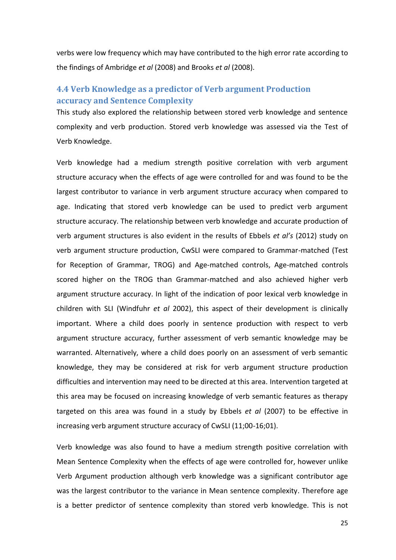verbs were low frequency which may have contributed to the high error rate according to the findings of Ambridge *et al* (2008) and Brooks *et al* (2008).

# <span id="page-28-0"></span>**4.4 Verb Knowledge as a predictor of Verb argument Production accuracy and Sentence Complexity**

This study also explored the relationship between stored verb knowledge and sentence complexity and verb production. Stored verb knowledge was assessed via the Test of Verb Knowledge.

Verb knowledge had a medium strength positive correlation with verb argument structure accuracy when the effects of age were controlled for and was found to be the largest contributor to variance in verb argument structure accuracy when compared to age. Indicating that stored verb knowledge can be used to predict verb argument structure accuracy. The relationship between verb knowledge and accurate production of verb argument structures is also evident in the results of Ebbels *et al's* (2012) study on verb argument structure production, CwSLI were compared to Grammar-matched (Test for Reception of Grammar, TROG) and Age-matched controls, Age-matched controls scored higher on the TROG than Grammar-matched and also achieved higher verb argument structure accuracy. In light of the indication of poor lexical verb knowledge in children with SLI (Windfuhr *et al* 2002), this aspect of their development is clinically important. Where a child does poorly in sentence production with respect to verb argument structure accuracy, further assessment of verb semantic knowledge may be warranted. Alternatively, where a child does poorly on an assessment of verb semantic knowledge, they may be considered at risk for verb argument structure production difficulties and intervention may need to be directed at this area. Intervention targeted at this area may be focused on increasing knowledge of verb semantic features as therapy targeted on this area was found in a study by Ebbels *et al* (2007) to be effective in increasing verb argument structure accuracy of CwSLI (11;00-16;01).

Verb knowledge was also found to have a medium strength positive correlation with Mean Sentence Complexity when the effects of age were controlled for, however unlike Verb Argument production although verb knowledge was a significant contributor age was the largest contributor to the variance in Mean sentence complexity. Therefore age is a better predictor of sentence complexity than stored verb knowledge. This is not

25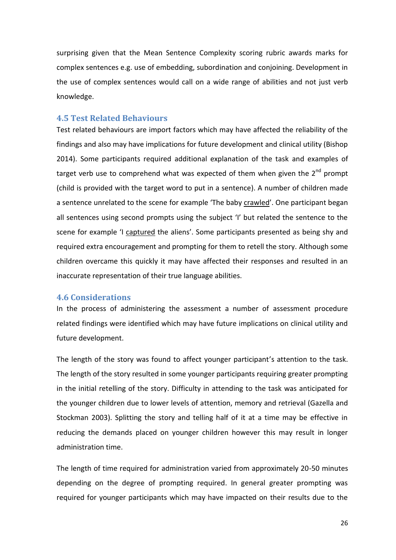surprising given that the Mean Sentence Complexity scoring rubric awards marks for complex sentences e.g. use of embedding, subordination and conjoining. Development in the use of complex sentences would call on a wide range of abilities and not just verb knowledge.

#### <span id="page-29-0"></span>**4.5 Test Related Behaviours**

Test related behaviours are import factors which may have affected the reliability of the findings and also may have implications for future development and clinical utility (Bishop 2014). Some participants required additional explanation of the task and examples of target verb use to comprehend what was expected of them when given the  $2<sup>nd</sup>$  prompt (child is provided with the target word to put in a sentence). A number of children made a sentence unrelated to the scene for example 'The baby crawled'. One participant began all sentences using second prompts using the subject 'I' but related the sentence to the scene for example 'I captured the aliens'. Some participants presented as being shy and required extra encouragement and prompting for them to retell the story. Although some children overcame this quickly it may have affected their responses and resulted in an inaccurate representation of their true language abilities.

### <span id="page-29-1"></span>**4.6 Considerations**

In the process of administering the assessment a number of assessment procedure related findings were identified which may have future implications on clinical utility and future development.

The length of the story was found to affect younger participant's attention to the task. The length of the story resulted in some younger participants requiring greater prompting in the initial retelling of the story. Difficulty in attending to the task was anticipated for the younger children due to lower levels of attention, memory and retrieval (Gazella and Stockman 2003). Splitting the story and telling half of it at a time may be effective in reducing the demands placed on younger children however this may result in longer administration time.

The length of time required for administration varied from approximately 20-50 minutes depending on the degree of prompting required. In general greater prompting was required for younger participants which may have impacted on their results due to the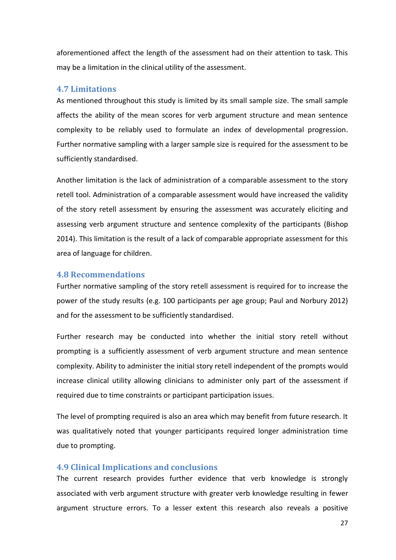aforementioned affect the length of the assessment had on their attention to task. This may be a limitation in the clinical utility of the assessment.

#### <span id="page-30-0"></span>**4.7 Limitations**

As mentioned throughout this study is limited by its small sample size. The small sample affects the ability of the mean scores for verb argument structure and mean sentence complexity to be reliably used to formulate an index of developmental progression. Further normative sampling with a larger sample size is required for the assessment to be sufficiently standardised.

Another limitation is the lack of administration of a comparable assessment to the story retell tool. Administration of a comparable assessment would have increased the validity of the story retell assessment by ensuring the assessment was accurately eliciting and assessing verb argument structure and sentence complexity of the participants (Bishop 2014). This limitation is the result of a lack of comparable appropriate assessment for this area of language for children.

#### <span id="page-30-1"></span>**4.8 Recommendations**

Further normative sampling of the story retell assessment is required for to increase the power of the study results (e.g. 100 participants per age group; Paul and Norbury 2012) and for the assessment to be sufficiently standardised.

Further research may be conducted into whether the initial story retell without prompting is a sufficiently assessment of verb argument structure and mean sentence complexity. Ability to administer the initial story retell independent of the prompts would increase clinical utility allowing clinicians to administer only part of the assessment if required due to time constraints or participant participation issues.

The level of prompting required is also an area which may benefit from future research. It was qualitatively noted that younger participants required longer administration time due to prompting.

#### <span id="page-30-2"></span>**4.9 Clinical Implications and conclusions**

The current research provides further evidence that verb knowledge is strongly associated with verb argument structure with greater verb knowledge resulting in fewer argument structure errors. To a lesser extent this research also reveals a positive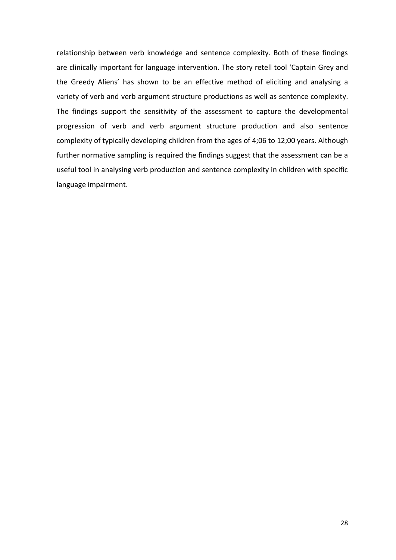relationship between verb knowledge and sentence complexity. Both of these findings are clinically important for language intervention. The story retell tool 'Captain Grey and the Greedy Aliens' has shown to be an effective method of eliciting and analysing a variety of verb and verb argument structure productions as well as sentence complexity. The findings support the sensitivity of the assessment to capture the developmental progression of verb and verb argument structure production and also sentence complexity of typically developing children from the ages of 4;06 to 12;00 years. Although further normative sampling is required the findings suggest that the assessment can be a useful tool in analysing verb production and sentence complexity in children with specific language impairment.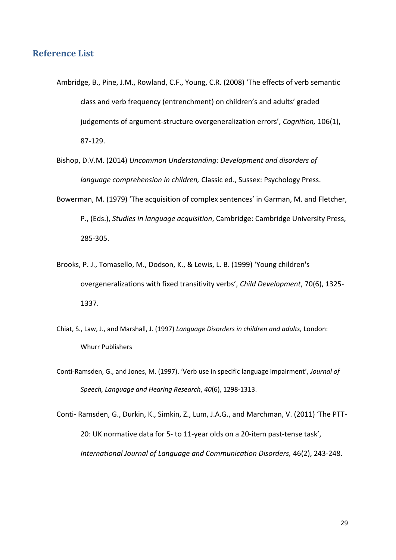# <span id="page-32-0"></span>**Reference List**

- Ambridge, B., Pine, J.M., Rowland, C.F., Young, C.R. (2008) 'The effects of verb semantic class and verb frequency (entrenchment) on children's and adults' graded judgements of argument-structure overgeneralization errors', *Cognition,* 106(1), 87-129.
- Bishop, D.V.M. (2014) *Uncommon Understanding: Development and disorders of language comprehension in children,* Classic ed., Sussex: Psychology Press.
- Bowerman, M. (1979) 'The acquisition of complex sentences' in Garman, M. and Fletcher, P., (Eds.), *Studies in language acquisition*, Cambridge: Cambridge University Press, 285-305.
- Brooks, P. J., Tomasello, M., Dodson, K., & Lewis, L. B. (1999) 'Young children's overgeneralizations with fixed transitivity verbs', *Child Development*, 70(6), 1325- 1337.
- Chiat, S., Law, J., and Marshall, J. (1997) *Language Disorders in children and adults,* London: Whurr Publishers
- Conti-Ramsden, G., and Jones, M. (1997). 'Verb use in specific language impairment', *Journal of Speech, Language and Hearing Research*, *40*(6), 1298-1313.

Conti- Ramsden, G., Durkin, K., Simkin, Z., Lum, J.A.G., and Marchman, V. (2011) 'The PTT-20: UK normative data for 5- to 11-year olds on a 20-item past-tense task', *International Journal of Language and Communication Disorders,* 46(2), 243-248.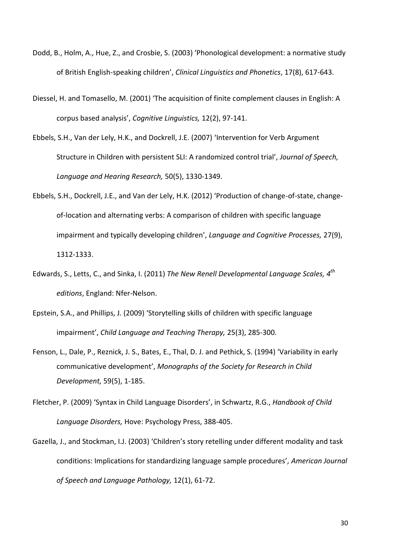- Dodd, B., Holm, A., Hue, Z., and Crosbie, S. (2003) 'Phonological development: a normative study of British English-speaking children', *Clinical Linguistics and Phonetics*, 17(8), 617-643.
- Diessel, H. and Tomasello, M. (2001) 'The acquisition of finite complement clauses in English: A corpus based analysis', *Cognitive Linguistics,* 12(2), 97-141.
- Ebbels, S.H., Van der Lely, H.K., and Dockrell, J.E. (2007) 'Intervention for Verb Argument Structure in Children with persistent SLI: A randomized control trial', *Journal of Speech, Language and Hearing Research,* 50(5), 1330-1349.
- Ebbels, S.H., Dockrell, J.E., and Van der Lely, H.K. (2012) 'Production of change-of-state, changeof-location and alternating verbs: A comparison of children with specific language impairment and typically developing children', *Language and Cognitive Processes,* 27(9), 1312-1333.
- Edwards, S., Letts, C., and Sinka, I. (2011) *The New Renell Developmental Language Scales, 4 th editions*, England: Nfer-Nelson.
- Epstein, S.A., and Phillips, J. (2009) 'Storytelling skills of children with specific language impairment', *Child Language and Teaching Therapy,* 25(3), 285-300.
- Fenson, L., Dale, P., Reznick, J. S., Bates, E., Thal, D. J. and Pethick, S. (1994) 'Variability in early communicative development', *Monographs of the Society for Research in Child Development,* 59(5), 1-185.
- Fletcher, P. (2009) 'Syntax in Child Language Disorders', in Schwartz, R.G., *Handbook of Child Language Disorders,* Hove: Psychology Press, 388-405.
- Gazella, J., and Stockman, I.J. (2003) 'Children's story retelling under different modality and task conditions: Implications for standardizing language sample procedures', *American Journal of Speech and Language Pathology,* 12(1), 61-72.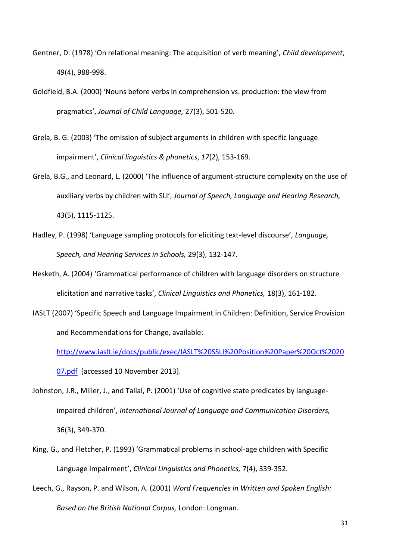- Gentner, D. (1978) 'On relational meaning: The acquisition of verb meaning', *Child development*, 49(4), 988-998.
- Goldfield, B.A. (2000) 'Nouns before verbs in comprehension vs. production: the view from pragmatics', *Journal of Child Language,* 27(3), 501-520.
- Grela, B. G. (2003) 'The omission of subject arguments in children with specific language impairment', *Clinical linguistics & phonetics*, *17*(2), 153-169.
- Grela, B.G., and Leonard, L. (2000) 'The influence of argument-structure complexity on the use of auxiliary verbs by children with SLI', *Journal of Speech, Language and Hearing Research,*  43(5), 1115-1125.
- Hadley, P. (1998) 'Language sampling protocols for eliciting text-level discourse', *Language, Speech, and Hearing Services in Schools,* 29(3), 132-147.
- Hesketh, A. (2004) 'Grammatical performance of children with language disorders on structure elicitation and narrative tasks', *Clinical Linguistics and Phonetics,* 18(3), 161-182.
- IASLT (2007) 'Specific Speech and Language Impairment in Children: Definition, Service Provision and Recommendations for Change, available:

[http://www.iaslt.ie/docs/public/exec/IASLT%20SSLI%20Position%20Paper%20Oct%2020](http://www.iaslt.ie/docs/public/exec/IASLT%20SSLI%20Position%20Paper%20Oct%202007.pdf) [07.pdf](http://www.iaslt.ie/docs/public/exec/IASLT%20SSLI%20Position%20Paper%20Oct%202007.pdf) [accessed 10 November 2013].

Johnston, J.R., Miller, J., and Tallal, P. (2001) 'Use of cognitive state predicates by languageimpaired children', *International Journal of Language and Communication Disorders,*  36(3), 349-370.

- King, G., and Fletcher, P. (1993) 'Grammatical problems in school-age children with Specific Language Impairment', *Clinical Linguistics and Phonetics,* 7(4), 339-352.
- Leech, G., Rayson, P. and Wilson, A. (2001) *Word Frequencies in Written and Spoken English: Based on the British National Corpus,* London: Longman.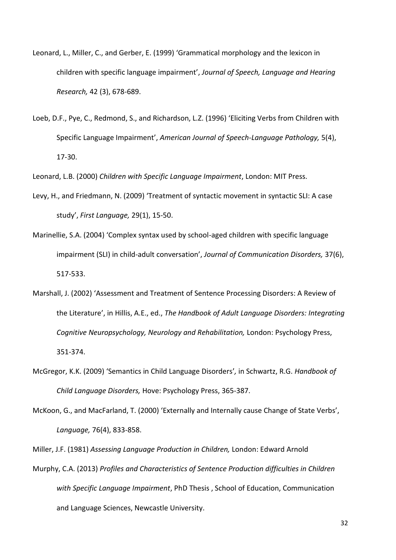- Leonard, L., Miller, C., and Gerber, E. (1999) 'Grammatical morphology and the lexicon in children with specific language impairment', *Journal of Speech, Language and Hearing Research,* 42 (3), 678-689.
- Loeb, D.F., Pye, C., Redmond, S., and Richardson, L.Z. (1996) 'Eliciting Verbs from Children with Specific Language Impairment', *American Journal of Speech-Language Pathology,* 5(4), 17-30.

Leonard, L.B. (2000) *Children with Specific Language Impairment*, London: MIT Press.

- Levy, H., and Friedmann, N. (2009) 'Treatment of syntactic movement in syntactic SLI: A case study', *First Language,* 29(1), 15-50.
- Marinellie, S.A. (2004) 'Complex syntax used by school-aged children with specific language impairment (SLI) in child-adult conversation', *Journal of Communication Disorders,* 37(6), 517-533.
- Marshall, J. (2002) 'Assessment and Treatment of Sentence Processing Disorders: A Review of the Literature', in Hillis, A.E., ed., *The Handbook of Adult Language Disorders: Integrating Cognitive Neuropsychology, Neurology and Rehabilitation,* London: Psychology Press, 351-374.
- McGregor, K.K. (2009) 'Semantics in Child Language Disorders'*,* in Schwartz, R.G. *Handbook of Child Language Disorders,* Hove: Psychology Press, 365-387.
- McKoon, G., and MacFarland, T. (2000) 'Externally and Internally cause Change of State Verbs', *Language,* 76(4), 833-858.

Miller, J.F. (1981) *Assessing Language Production in Children,* London: Edward Arnold

Murphy, C.A. (2013) *Profiles and Characteristics of Sentence Production difficulties in Children with Specific Language Impairment*, PhD Thesis , School of Education, Communication and Language Sciences, Newcastle University.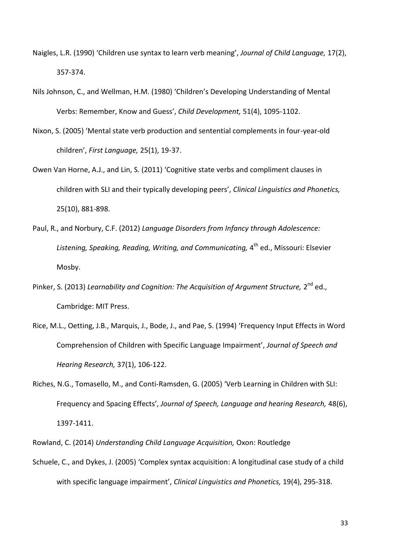- Naigles, L.R. (1990) 'Children use syntax to learn verb meaning', *Journal of Child Language,* 17(2), 357-374.
- Nils Johnson, C., and Wellman, H.M. (1980) 'Children's Developing Understanding of Mental Verbs: Remember, Know and Guess', *Child Development,* 51(4), 1095-1102.
- Nixon, S. (2005) 'Mental state verb production and sentential complements in four-year-old children', *First Language,* 25(1), 19-37.
- Owen Van Horne, A.J., and Lin, S. (2011) 'Cognitive state verbs and compliment clauses in children with SLI and their typically developing peers', *Clinical Linguistics and Phonetics,*  25(10), 881-898.
- Paul, R., and Norbury, C.F. (2012) *Language Disorders from Infancy through Adolescence:*  Listening, Speaking, Reading, Writing, and Communicating, 4<sup>th</sup> ed., Missouri: Elsevier Mosby.
- Pinker, S. (2013) Learnability and Cognition: The Acquisition of Argument Structure, 2<sup>nd</sup> ed., Cambridge: MIT Press.
- Rice, M.L., Oetting, J.B., Marquis, J., Bode, J., and Pae, S. (1994) 'Frequency Input Effects in Word Comprehension of Children with Specific Language Impairment', *Journal of Speech and Hearing Research,* 37(1), 106-122.
- Riches, N.G., Tomasello, M., and Conti-Ramsden, G. (2005) 'Verb Learning in Children with SLI: Frequency and Spacing Effects', *Journal of Speech, Language and hearing Research,* 48(6), 1397-1411.
- Rowland, C. (2014) *Understanding Child Language Acquisition,* Oxon: Routledge
- Schuele, C., and Dykes, J. (2005) 'Complex syntax acquisition: A longitudinal case study of a child with specific language impairment', *Clinical Linguistics and Phonetics,* 19(4), 295-318.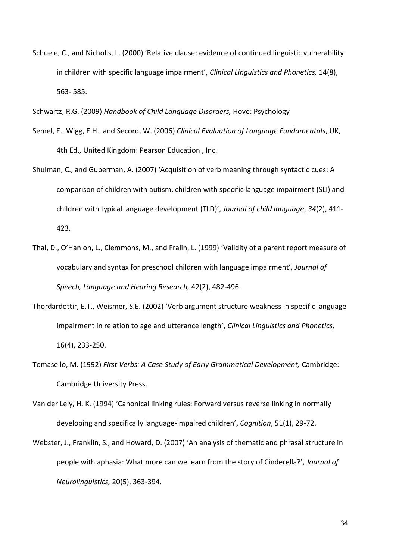Schuele, C., and Nicholls, L. (2000) 'Relative clause: evidence of continued linguistic vulnerability in children with specific language impairment', *Clinical Linguistics and Phonetics,* 14(8), 563- 585.

Schwartz, R.G. (2009) *Handbook of Child Language Disorders,* Hove: Psychology

- Semel, E., Wigg, E.H., and Secord, W. (2006) *Clinical Evaluation of Language Fundamentals*, UK, 4th Ed., United Kingdom: Pearson Education , Inc.
- Shulman, C., and Guberman, A. (2007) 'Acquisition of verb meaning through syntactic cues: A comparison of children with autism, children with specific language impairment (SLI) and children with typical language development (TLD)', *Journal of child language*, *34*(2), 411- 423.
- Thal, D., O'Hanlon, L., Clemmons, M., and Fralin, L. (1999) 'Validity of a parent report measure of vocabulary and syntax for preschool children with language impairment', *Journal of Speech, Language and Hearing Research,* 42(2), 482-496.
- Thordardottir, E.T., Weismer, S.E. (2002) 'Verb argument structure weakness in specific language impairment in relation to age and utterance length', *Clinical Linguistics and Phonetics,*  16(4), 233-250.
- Tomasello, M. (1992) *First Verbs: A Case Study of Early Grammatical Development,* Cambridge: Cambridge University Press.
- Van der Lely, H. K. (1994) 'Canonical linking rules: Forward versus reverse linking in normally developing and specifically language-impaired children', *Cognition*, 51(1), 29-72.
- Webster, J., Franklin, S., and Howard, D. (2007) 'An analysis of thematic and phrasal structure in people with aphasia: What more can we learn from the story of Cinderella?', *Journal of Neurolinguistics,* 20(5), 363-394.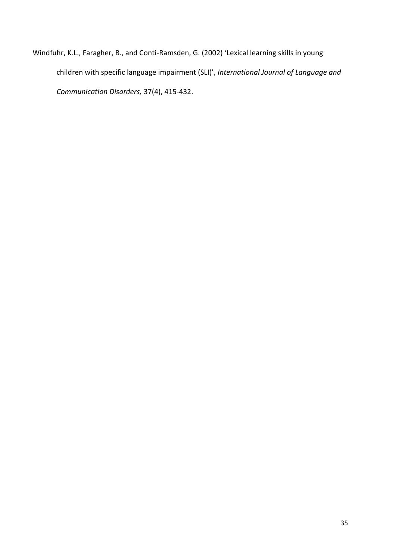<span id="page-38-0"></span>Windfuhr, K.L., Faragher, B., and Conti-Ramsden, G. (2002) 'Lexical learning skills in young children with specific language impairment (SLI)', *International Journal of Language and Communication Disorders,* 37(4), 415-432.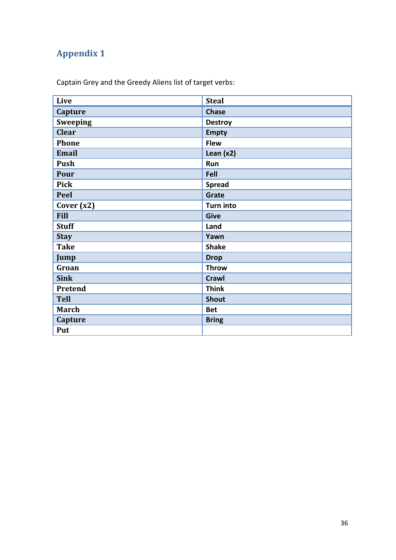# **Appendix 1**

Captain Grey and the Greedy Aliens list of target verbs:

| Live            | <b>Steal</b>     |
|-----------------|------------------|
| Capture         | <b>Chase</b>     |
| <b>Sweeping</b> | <b>Destroy</b>   |
| <b>Clear</b>    | <b>Empty</b>     |
| <b>Phone</b>    | <b>Flew</b>      |
| <b>Email</b>    | Lean $(x2)$      |
| Push            | Run              |
| Pour            | Fell             |
| <b>Pick</b>     | <b>Spread</b>    |
| Peel            | Grate            |
| Cover $(x2)$    | <b>Turn into</b> |
| <b>Fill</b>     | <b>Give</b>      |
| <b>Stuff</b>    | Land             |
| <b>Stay</b>     | Yawn             |
| <b>Take</b>     | <b>Shake</b>     |
| Jump            | <b>Drop</b>      |
| Groan           | <b>Throw</b>     |
| <b>Sink</b>     | <b>Crawl</b>     |
| Pretend         | <b>Think</b>     |
| <b>Tell</b>     | <b>Shout</b>     |
| <b>March</b>    | <b>Bet</b>       |
| Capture         | <b>Bring</b>     |
| Put             |                  |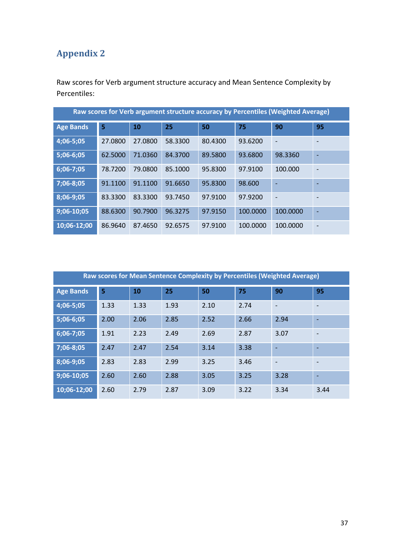# <span id="page-40-0"></span>**Appendix 2**

Raw scores for Verb argument structure accuracy and Mean Sentence Complexity by Percentiles:

| Raw scores for Verb argument structure accuracy by Percentiles (Weighted Average) |         |           |         |         |          |                          |                          |
|-----------------------------------------------------------------------------------|---------|-----------|---------|---------|----------|--------------------------|--------------------------|
| <b>Age Bands</b>                                                                  | 5       | <b>10</b> | 25      | 50      | 75       | 90                       | 95                       |
| 4;06-5;05                                                                         | 27.0800 | 27.0800   | 58.3300 | 80.4300 | 93.6200  | $\overline{\phantom{a}}$ |                          |
| 5;06-6;05                                                                         | 62.5000 | 71.0360   | 84.3700 | 89.5800 | 93.6800  | 98.3360                  | $\overline{\phantom{0}}$ |
| 6;06-7;05                                                                         | 78.7200 | 79.0800   | 85.1000 | 95.8300 | 97.9100  | 100.000                  |                          |
| 7;06-8;05                                                                         | 91.1100 | 91.1100   | 91.6650 | 95.8300 | 98.600   | ٠                        |                          |
| 8;06-9;05                                                                         | 83.3300 | 83.3300   | 93.7450 | 97.9100 | 97.9200  | $\overline{a}$           |                          |
| $9;06-10;05$                                                                      | 88.6300 | 90.7900   | 96.3275 | 97.9150 | 100.0000 | 100.0000                 | $\overline{\phantom{0}}$ |
| 10:06-12:00                                                                       | 86.9640 | 87.4650   | 92.6575 | 97.9100 | 100.0000 | 100.0000                 |                          |

| Raw scores for Mean Sentence Complexity by Percentiles (Weighted Average) |      |      |      |      |      |                          |                          |
|---------------------------------------------------------------------------|------|------|------|------|------|--------------------------|--------------------------|
| <b>Age Bands</b>                                                          | 5    | 10   | 25   | 50   | 75   | 90                       | 95                       |
| 4;06-5;05                                                                 | 1.33 | 1.33 | 1.93 | 2.10 | 2.74 | $\overline{\phantom{a}}$ | $\overline{\phantom{a}}$ |
| 5;06-6;05                                                                 | 2.00 | 2.06 | 2.85 | 2.52 | 2.66 | 2.94                     |                          |
| 6;06-7;05                                                                 | 1.91 | 2.23 | 2.49 | 2.69 | 2.87 | 3.07                     |                          |
| 7;06-8;05                                                                 | 2.47 | 2.47 | 2.54 | 3.14 | 3.38 |                          |                          |
| 8;06-9;05                                                                 | 2.83 | 2.83 | 2.99 | 3.25 | 3.46 |                          |                          |
| 9;06-10;05                                                                | 2.60 | 2.60 | 2.88 | 3.05 | 3.25 | 3.28                     | $\overline{\phantom{0}}$ |
| 10;06-12;00                                                               | 2.60 | 2.79 | 2.87 | 3.09 | 3.22 | 3.34                     | 3.44                     |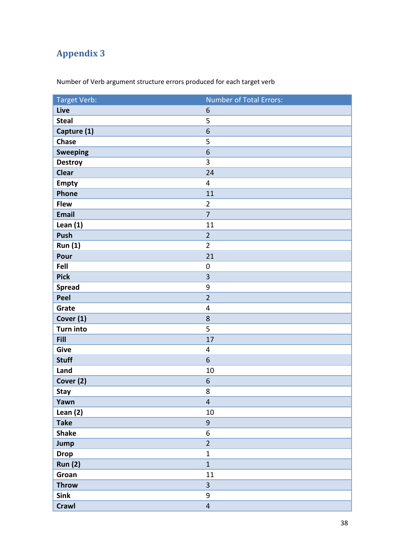# <span id="page-41-0"></span>**Appendix 3**

| Target Verb:     | Number of Total Errors: |
|------------------|-------------------------|
| Live             | $\boldsymbol{6}$        |
| <b>Steal</b>     | 5                       |
| Capture (1)      | $\boldsymbol{6}$        |
| <b>Chase</b>     | 5                       |
| <b>Sweeping</b>  | 6                       |
| <b>Destroy</b>   | 3                       |
| <b>Clear</b>     | 24                      |
| <b>Empty</b>     | $\overline{4}$          |
| Phone            | 11                      |
| <b>Flew</b>      | $\overline{2}$          |
| <b>Email</b>     | $\overline{7}$          |
| Lean $(1)$       | 11                      |
| Push             | $\overline{2}$          |
| <b>Run (1)</b>   | $\overline{2}$          |
| Pour             | 21                      |
| Fell             | $\boldsymbol{0}$        |
| <b>Pick</b>      | 3                       |
| <b>Spread</b>    | $\mathsf 9$             |
| Peel             | $\overline{2}$          |
| Grate            | $\overline{4}$          |
| Cover (1)        | 8                       |
| <b>Turn into</b> | 5                       |
| <b>Fill</b>      | 17                      |
| Give             | 4                       |
| <b>Stuff</b>     | 6                       |
| Land             | 10                      |
| Cover (2)        | 6                       |
| <b>Stay</b>      | 8                       |
| Yawn             | $\overline{4}$          |
| Lean $(2)$       | 10                      |
| <b>Take</b>      | $9\,$                   |
| <b>Shake</b>     | 6                       |
| Jump             | $\overline{2}$          |
| <b>Drop</b>      | $\mathbf{1}$            |
| <b>Run (2)</b>   | $\mathbf{1}$            |
| Groan            | 11                      |
| <b>Throw</b>     | $\overline{3}$          |
| <b>Sink</b>      | $\boldsymbol{9}$        |
| <b>Crawl</b>     | $\overline{4}$          |

Number of Verb argument structure errors produced for each target verb